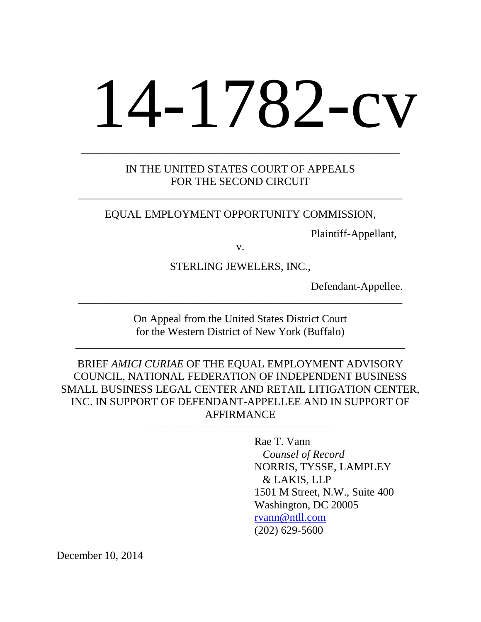# 14-1782-cv

## IN THE UNITED STATES COURT OF APPEALS FOR THE SECOND CIRCUIT

\_\_\_\_\_\_\_\_\_\_\_\_\_\_\_\_\_\_\_\_\_\_\_\_\_\_\_\_\_\_\_\_\_\_\_\_\_\_\_\_\_\_\_\_\_\_\_\_\_\_\_\_\_\_\_\_\_\_\_

\_\_\_\_\_\_\_\_\_\_\_\_\_\_\_\_\_\_\_\_\_\_\_\_\_\_\_\_\_\_\_\_\_\_\_\_\_\_\_\_\_\_\_\_\_\_\_\_\_\_\_\_\_\_\_\_\_\_

#### EQUAL EMPLOYMENT OPPORTUNITY COMMISSION,

Plaintiff-Appellant,

v.

STERLING JEWELERS, INC.,

Defendant-Appellee.

On Appeal from the United States District Court for the Western District of New York (Buffalo)

\_\_\_\_\_\_\_\_\_\_\_\_\_\_\_\_\_\_\_\_\_\_\_\_\_\_\_\_\_\_\_\_\_\_\_\_\_\_\_\_\_\_\_\_\_\_\_\_\_\_\_\_\_\_\_\_\_\_\_\_

\_\_\_\_\_\_\_\_\_\_\_\_\_\_\_\_\_\_\_\_\_\_\_\_\_\_\_\_\_\_\_\_\_\_\_\_\_\_\_\_\_\_\_\_\_\_\_\_\_\_\_\_\_\_\_\_\_\_\_

BRIEF *AMICI CURIAE* OF THE EQUAL EMPLOYMENT ADVISORY COUNCIL, NATIONAL FEDERATION OF INDEPENDENT BUSINESS SMALL BUSINESS LEGAL CENTER AND RETAIL LITIGATION CENTER, INC. IN SUPPORT OF DEFENDANT-APPELLEE AND IN SUPPORT OF AFFIRMANCE

\_\_\_\_\_\_\_\_\_\_\_\_\_\_\_\_\_\_\_\_\_\_\_\_\_\_\_\_\_\_\_\_\_\_\_\_\_\_\_\_\_\_\_\_\_\_\_\_\_\_\_\_\_\_\_\_\_\_\_\_

 Rae T. Vann *Counsel of Record*  NORRIS, TYSSE, LAMPLEY & LAKIS, LLP 1501 M Street, N.W., Suite 400 Washington, DC 20005 rvann@ntll.com (202) 629-5600

December 10, 2014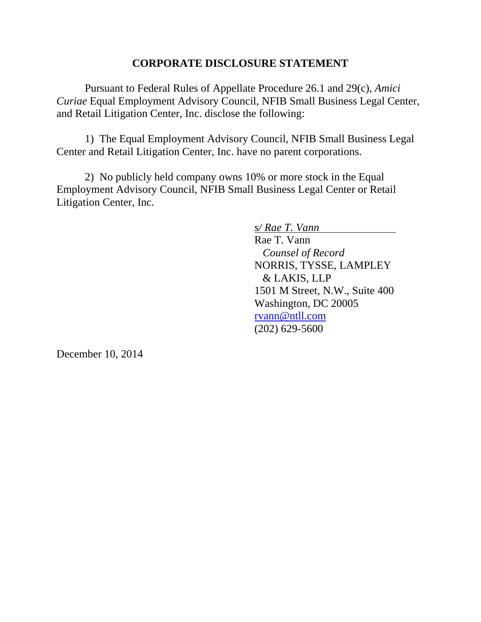## **CORPORATE DISCLOSURE STATEMENT**

 Pursuant to Federal Rules of Appellate Procedure 26.1 and 29(c), *Amici Curiae* Equal Employment Advisory Council, NFIB Small Business Legal Center, and Retail Litigation Center, Inc. disclose the following:

 1) The Equal Employment Advisory Council, NFIB Small Business Legal Center and Retail Litigation Center, Inc. have no parent corporations.

 2) No publicly held company owns 10% or more stock in the Equal Employment Advisory Council, NFIB Small Business Legal Center or Retail Litigation Center, Inc.

> *s/ Rae T. Vann*  Rae T. Vann *Counsel of Record*  NORRIS, TYSSE, LAMPLEY & LAKIS, LLP 1501 M Street, N.W., Suite 400 Washington, DC 20005 rvann@ntll.com (202) 629-5600

December 10, 2014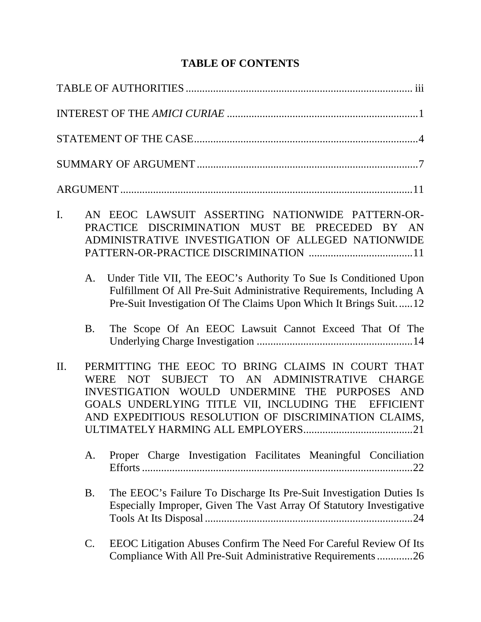# **TABLE OF CONTENTS**

| I.  |           | AN EEOC LAWSUIT ASSERTING NATIONWIDE PATTERN-OR-<br>PRACTICE DISCRIMINATION MUST BE PRECEDED BY AN<br>ADMINISTRATIVE INVESTIGATION OF ALLEGED NATIONWIDE                                                                                                      |
|-----|-----------|---------------------------------------------------------------------------------------------------------------------------------------------------------------------------------------------------------------------------------------------------------------|
|     | A.        | Under Title VII, The EEOC's Authority To Sue Is Conditioned Upon<br>Fulfillment Of All Pre-Suit Administrative Requirements, Including A<br>Pre-Suit Investigation Of The Claims Upon Which It Brings Suit12                                                  |
|     | <b>B.</b> | The Scope Of An EEOC Lawsuit Cannot Exceed That Of The                                                                                                                                                                                                        |
| II. | WERE      | PERMITTING THE EEOC TO BRING CLAIMS IN COURT THAT<br>NOT SUBJECT TO AN ADMINISTRATIVE CHARGE<br>INVESTIGATION WOULD UNDERMINE THE PURPOSES AND<br>GOALS UNDERLYING TITLE VII, INCLUDING THE EFFICIENT<br>AND EXPEDITIOUS RESOLUTION OF DISCRIMINATION CLAIMS, |
|     | A.        | Proper Charge Investigation Facilitates Meaningful Conciliation                                                                                                                                                                                               |
|     | <b>B.</b> | The EEOC's Failure To Discharge Its Pre-Suit Investigation Duties Is<br>Especially Improper, Given The Vast Array Of Statutory Investigative                                                                                                                  |
|     | C.        | EEOC Litigation Abuses Confirm The Need For Careful Review Of Its<br>Compliance With All Pre-Suit Administrative Requirements 26                                                                                                                              |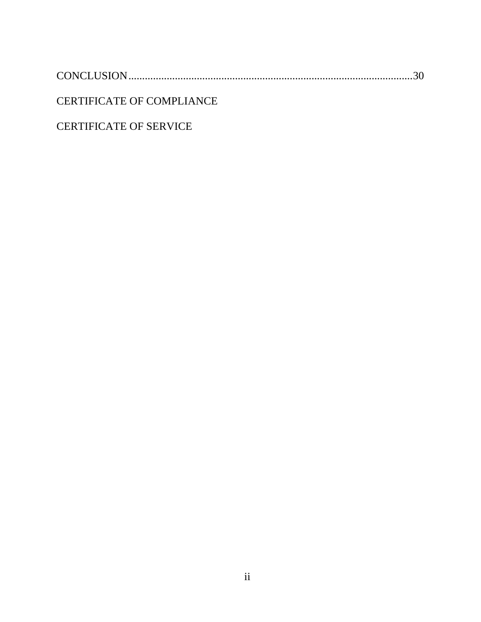CONCLUSION ........................................................................................................ 30

CERTIFICATE OF COMPLIANCE

CERTIFICATE OF SERVICE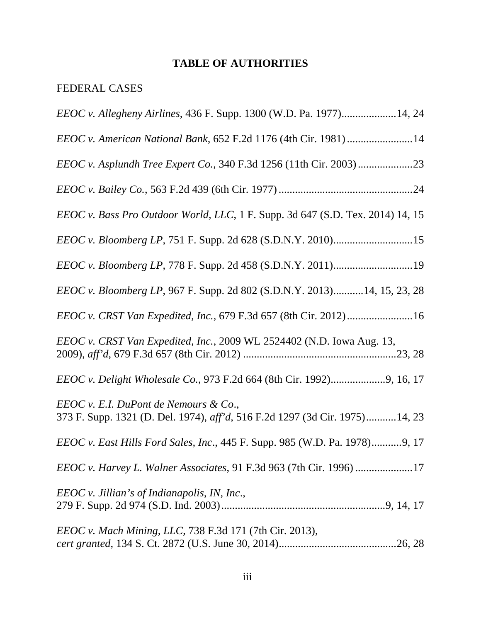# **TABLE OF AUTHORITIES**

# FEDERAL CASES

| <i>EEOC v. Allegheny Airlines, 436 F. Supp. 1300 (W.D. Pa. 1977)14, 24</i>                                           |
|----------------------------------------------------------------------------------------------------------------------|
| EEOC v. American National Bank, 652 F.2d 1176 (4th Cir. 1981) 14                                                     |
|                                                                                                                      |
|                                                                                                                      |
| EEOC v. Bass Pro Outdoor World, LLC, 1 F. Supp. 3d 647 (S.D. Tex. 2014) 14, 15                                       |
| EEOC v. Bloomberg LP, 751 F. Supp. 2d 628 (S.D.N.Y. 2010)15                                                          |
|                                                                                                                      |
| EEOC v. Bloomberg LP, 967 F. Supp. 2d 802 (S.D.N.Y. 2013)14, 15, 23, 28                                              |
| EEOC v. CRST Van Expedited, Inc., 679 F.3d 657 (8th Cir. 2012)16                                                     |
| EEOC v. CRST Van Expedited, Inc., 2009 WL 2524402 (N.D. Iowa Aug. 13,                                                |
|                                                                                                                      |
| EEOC v. E.I. DuPont de Nemours & Co.,<br>373 F. Supp. 1321 (D. Del. 1974), aff'd, 516 F.2d 1297 (3d Cir. 1975)14, 23 |
| <i>EEOC v. East Hills Ford Sales, Inc., 445 F. Supp. 985 (W.D. Pa. 1978)9, 17</i>                                    |
| EEOC v. Harvey L. Walner Associates, 91 F.3d 963 (7th Cir. 1996) 17                                                  |
| $EEOC$ v. Jillian's of Indianapolis, IN, Inc.,                                                                       |
| EEOC v. Mach Mining, LLC, 738 F.3d 171 (7th Cir. 2013),                                                              |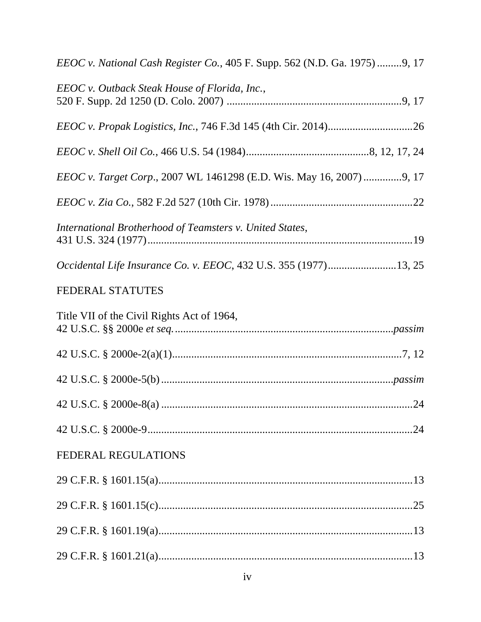| EEOC v. National Cash Register Co., 405 F. Supp. 562 (N.D. Ga. 1975)9, 17 |
|---------------------------------------------------------------------------|
| EEOC v. Outback Steak House of Florida, Inc.,                             |
|                                                                           |
|                                                                           |
| EEOC v. Target Corp., 2007 WL 1461298 (E.D. Wis. May 16, 2007) 9, 17      |
|                                                                           |
| International Brotherhood of Teamsters v. United States,                  |
| Occidental Life Insurance Co. v. EEOC, 432 U.S. 355 (1977)13, 25          |
| <b>FEDERAL STATUTES</b>                                                   |
| Title VII of the Civil Rights Act of 1964,                                |
|                                                                           |
|                                                                           |
|                                                                           |
|                                                                           |
|                                                                           |
| <b>FEDERAL REGULATIONS</b>                                                |
|                                                                           |
|                                                                           |
|                                                                           |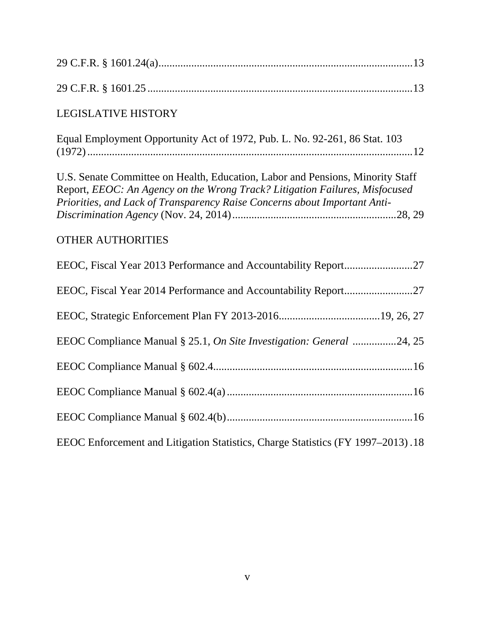| <b>LEGISLATIVE HISTORY</b>                                                                                                                                                                                                                 |
|--------------------------------------------------------------------------------------------------------------------------------------------------------------------------------------------------------------------------------------------|
| Equal Employment Opportunity Act of 1972, Pub. L. No. 92-261, 86 Stat. 103                                                                                                                                                                 |
| U.S. Senate Committee on Health, Education, Labor and Pensions, Minority Staff<br>Report, EEOC: An Agency on the Wrong Track? Litigation Failures, Misfocused<br>Priorities, and Lack of Transparency Raise Concerns about Important Anti- |
| <b>OTHER AUTHORITIES</b>                                                                                                                                                                                                                   |
| EEOC, Fiscal Year 2013 Performance and Accountability Report27                                                                                                                                                                             |
|                                                                                                                                                                                                                                            |
|                                                                                                                                                                                                                                            |
| EEOC Compliance Manual § 25.1, On Site Investigation: General 24, 25                                                                                                                                                                       |
|                                                                                                                                                                                                                                            |
|                                                                                                                                                                                                                                            |
|                                                                                                                                                                                                                                            |
| EEOC Enforcement and Litigation Statistics, Charge Statistics (FY 1997–2013).18                                                                                                                                                            |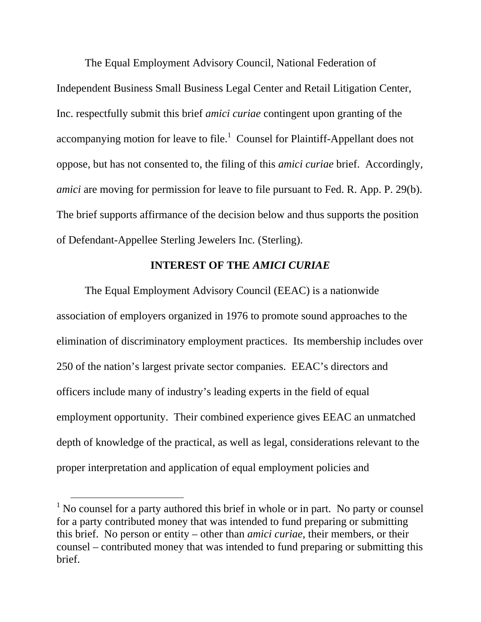The Equal Employment Advisory Council, National Federation of Independent Business Small Business Legal Center and Retail Litigation Center, Inc. respectfully submit this brief *amici curiae* contingent upon granting of the accompanying motion for leave to file. $\frac{1}{1}$  Counsel for Plaintiff-Appellant does not oppose, but has not consented to, the filing of this *amici curiae* brief. Accordingly, *amici* are moving for permission for leave to file pursuant to Fed. R. App. P. 29(b). The brief supports affirmance of the decision below and thus supports the position of Defendant-Appellee Sterling Jewelers Inc*.* (Sterling).

#### **INTEREST OF THE** *AMICI CURIAE*

The Equal Employment Advisory Council (EEAC) is a nationwide association of employers organized in 1976 to promote sound approaches to the elimination of discriminatory employment practices. Its membership includes over 250 of the nation's largest private sector companies. EEAC's directors and officers include many of industry's leading experts in the field of equal employment opportunity. Their combined experience gives EEAC an unmatched depth of knowledge of the practical, as well as legal, considerations relevant to the proper interpretation and application of equal employment policies and

<sup>&</sup>lt;sup>1</sup> No counsel for a party authored this brief in whole or in part. No party or counsel for a party contributed money that was intended to fund preparing or submitting this brief. No person or entity – other than *amici curiae*, their members, or their counsel – contributed money that was intended to fund preparing or submitting this brief.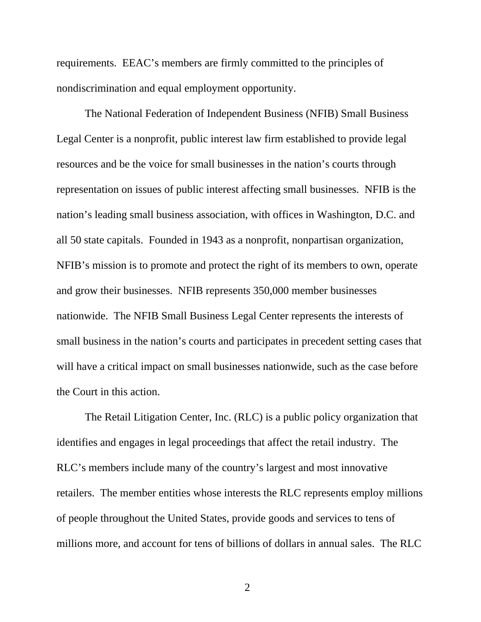requirements. EEAC's members are firmly committed to the principles of nondiscrimination and equal employment opportunity.

The National Federation of Independent Business (NFIB) Small Business Legal Center is a nonprofit, public interest law firm established to provide legal resources and be the voice for small businesses in the nation's courts through representation on issues of public interest affecting small businesses. NFIB is the nation's leading small business association, with offices in Washington, D.C. and all 50 state capitals. Founded in 1943 as a nonprofit, nonpartisan organization, NFIB's mission is to promote and protect the right of its members to own, operate and grow their businesses. NFIB represents 350,000 member businesses nationwide. The NFIB Small Business Legal Center represents the interests of small business in the nation's courts and participates in precedent setting cases that will have a critical impact on small businesses nationwide, such as the case before the Court in this action.

The Retail Litigation Center, Inc. (RLC) is a public policy organization that identifies and engages in legal proceedings that affect the retail industry. The RLC's members include many of the country's largest and most innovative retailers. The member entities whose interests the RLC represents employ millions of people throughout the United States, provide goods and services to tens of millions more, and account for tens of billions of dollars in annual sales. The RLC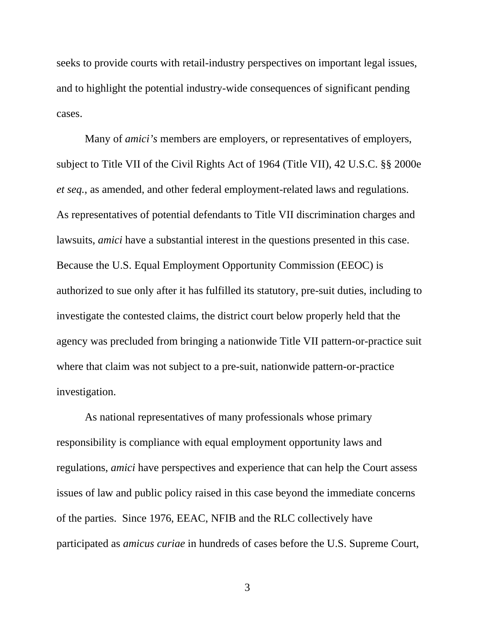seeks to provide courts with retail-industry perspectives on important legal issues, and to highlight the potential industry-wide consequences of significant pending cases.

Many of *amici's* members are employers, or representatives of employers, subject to Title VII of the Civil Rights Act of 1964 (Title VII), 42 U.S.C. §§ 2000e *et seq.*, as amended, and other federal employment-related laws and regulations. As representatives of potential defendants to Title VII discrimination charges and lawsuits, *amici* have a substantial interest in the questions presented in this case. Because the U.S. Equal Employment Opportunity Commission (EEOC) is authorized to sue only after it has fulfilled its statutory, pre-suit duties, including to investigate the contested claims, the district court below properly held that the agency was precluded from bringing a nationwide Title VII pattern-or-practice suit where that claim was not subject to a pre-suit, nationwide pattern-or-practice investigation.

As national representatives of many professionals whose primary responsibility is compliance with equal employment opportunity laws and regulations, *amici* have perspectives and experience that can help the Court assess issues of law and public policy raised in this case beyond the immediate concerns of the parties. Since 1976, EEAC, NFIB and the RLC collectively have participated as *amicus curiae* in hundreds of cases before the U.S. Supreme Court,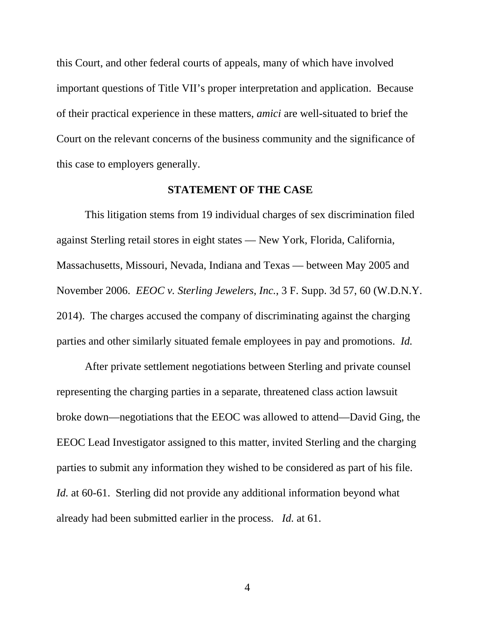this Court, and other federal courts of appeals, many of which have involved important questions of Title VII's proper interpretation and application. Because of their practical experience in these matters, *amici* are well-situated to brief the Court on the relevant concerns of the business community and the significance of this case to employers generally.

#### **STATEMENT OF THE CASE**

 This litigation stems from 19 individual charges of sex discrimination filed against Sterling retail stores in eight states — New York, Florida, California, Massachusetts, Missouri, Nevada, Indiana and Texas — between May 2005 and November 2006. *EEOC v. Sterling Jewelers, Inc.*, 3 F. Supp. 3d 57, 60 (W.D.N.Y. 2014). The charges accused the company of discriminating against the charging parties and other similarly situated female employees in pay and promotions. *Id.*

 After private settlement negotiations between Sterling and private counsel representing the charging parties in a separate, threatened class action lawsuit broke down—negotiations that the EEOC was allowed to attend—David Ging, the EEOC Lead Investigator assigned to this matter, invited Sterling and the charging parties to submit any information they wished to be considered as part of his file. *Id.* at 60-61. Sterling did not provide any additional information beyond what already had been submitted earlier in the process. *Id.* at 61.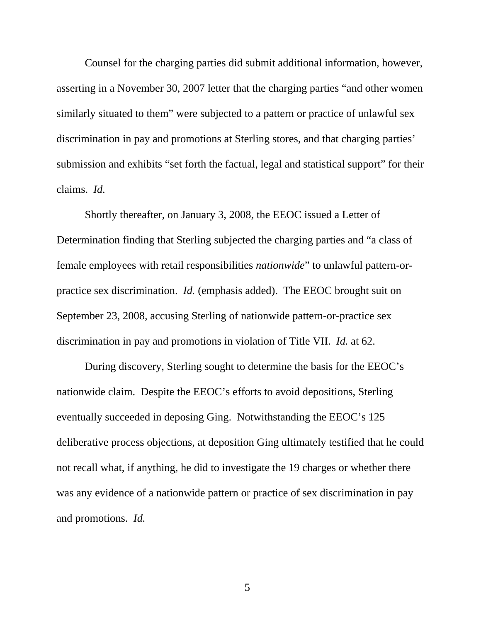Counsel for the charging parties did submit additional information, however, asserting in a November 30, 2007 letter that the charging parties "and other women similarly situated to them" were subjected to a pattern or practice of unlawful sex discrimination in pay and promotions at Sterling stores, and that charging parties' submission and exhibits "set forth the factual, legal and statistical support" for their claims. *Id.*

 Shortly thereafter, on January 3, 2008, the EEOC issued a Letter of Determination finding that Sterling subjected the charging parties and "a class of female employees with retail responsibilities *nationwide*" to unlawful pattern-orpractice sex discrimination. *Id.* (emphasis added). The EEOC brought suit on September 23, 2008, accusing Sterling of nationwide pattern-or-practice sex discrimination in pay and promotions in violation of Title VII. *Id.* at 62.

 During discovery, Sterling sought to determine the basis for the EEOC's nationwide claim. Despite the EEOC's efforts to avoid depositions, Sterling eventually succeeded in deposing Ging. Notwithstanding the EEOC's 125 deliberative process objections, at deposition Ging ultimately testified that he could not recall what, if anything, he did to investigate the 19 charges or whether there was any evidence of a nationwide pattern or practice of sex discrimination in pay and promotions. *Id.*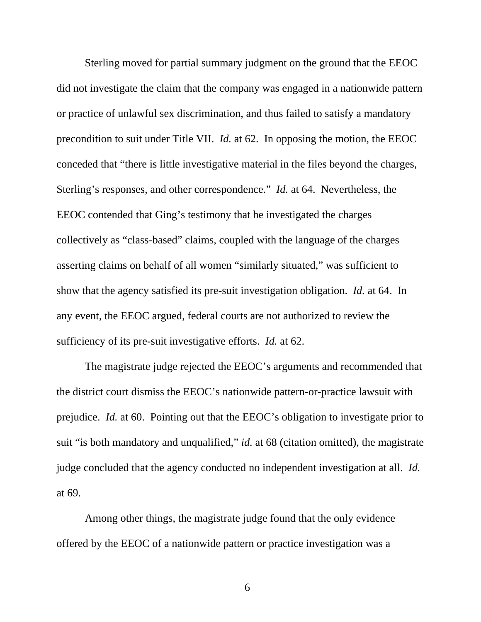Sterling moved for partial summary judgment on the ground that the EEOC did not investigate the claim that the company was engaged in a nationwide pattern or practice of unlawful sex discrimination, and thus failed to satisfy a mandatory precondition to suit under Title VII. *Id.* at 62. In opposing the motion, the EEOC conceded that "there is little investigative material in the files beyond the charges, Sterling's responses, and other correspondence." *Id.* at 64. Nevertheless, the EEOC contended that Ging's testimony that he investigated the charges collectively as "class-based" claims, coupled with the language of the charges asserting claims on behalf of all women "similarly situated," was sufficient to show that the agency satisfied its pre-suit investigation obligation. *Id.* at 64. In any event, the EEOC argued, federal courts are not authorized to review the sufficiency of its pre-suit investigative efforts. *Id.* at 62.

 The magistrate judge rejected the EEOC's arguments and recommended that the district court dismiss the EEOC's nationwide pattern-or-practice lawsuit with prejudice. *Id.* at 60. Pointing out that the EEOC's obligation to investigate prior to suit "is both mandatory and unqualified," *id.* at 68 (citation omitted), the magistrate judge concluded that the agency conducted no independent investigation at all. *Id.*  at 69.

 Among other things, the magistrate judge found that the only evidence offered by the EEOC of a nationwide pattern or practice investigation was a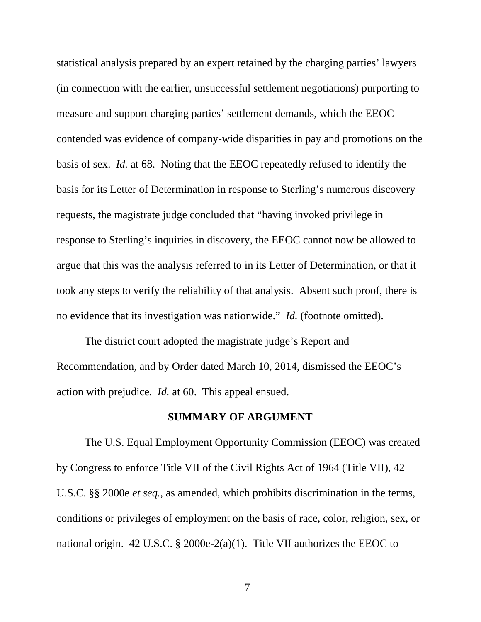statistical analysis prepared by an expert retained by the charging parties' lawyers (in connection with the earlier, unsuccessful settlement negotiations) purporting to measure and support charging parties' settlement demands, which the EEOC contended was evidence of company-wide disparities in pay and promotions on the basis of sex. *Id.* at 68. Noting that the EEOC repeatedly refused to identify the basis for its Letter of Determination in response to Sterling's numerous discovery requests, the magistrate judge concluded that "having invoked privilege in response to Sterling's inquiries in discovery, the EEOC cannot now be allowed to argue that this was the analysis referred to in its Letter of Determination, or that it took any steps to verify the reliability of that analysis. Absent such proof, there is no evidence that its investigation was nationwide." *Id.* (footnote omitted).

 The district court adopted the magistrate judge's Report and Recommendation, and by Order dated March 10, 2014, dismissed the EEOC's action with prejudice. *Id.* at 60. This appeal ensued.

# **SUMMARY OF ARGUMENT**

The U.S. Equal Employment Opportunity Commission (EEOC) was created by Congress to enforce Title VII of the Civil Rights Act of 1964 (Title VII), 42 U.S.C. §§ 2000e *et seq.*, as amended, which prohibits discrimination in the terms, conditions or privileges of employment on the basis of race, color, religion, sex, or national origin. 42 U.S.C. § 2000e-2(a)(1). Title VII authorizes the EEOC to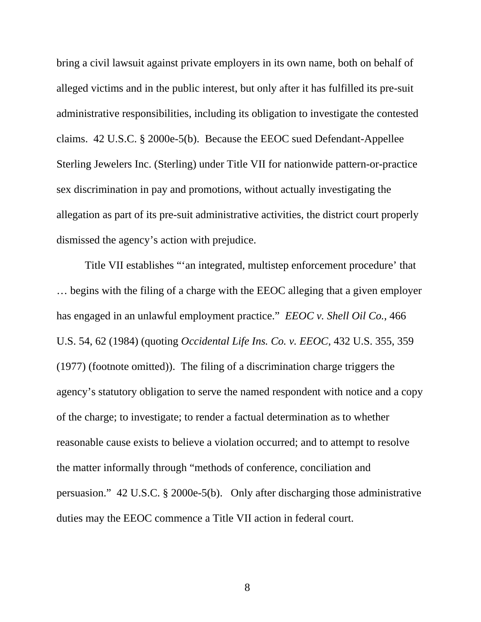bring a civil lawsuit against private employers in its own name, both on behalf of alleged victims and in the public interest, but only after it has fulfilled its pre-suit administrative responsibilities, including its obligation to investigate the contested claims. 42 U.S.C. § 2000e-5(b). Because the EEOC sued Defendant-Appellee Sterling Jewelers Inc. (Sterling) under Title VII for nationwide pattern-or-practice sex discrimination in pay and promotions, without actually investigating the allegation as part of its pre-suit administrative activities, the district court properly dismissed the agency's action with prejudice.

 Title VII establishes "'an integrated, multistep enforcement procedure' that … begins with the filing of a charge with the EEOC alleging that a given employer has engaged in an unlawful employment practice." *EEOC v. Shell Oil Co.*, 466 U.S. 54, 62 (1984) (quoting *Occidental Life Ins. Co. v. EEOC*, 432 U.S. 355, 359 (1977) (footnote omitted)). The filing of a discrimination charge triggers the agency's statutory obligation to serve the named respondent with notice and a copy of the charge; to investigate; to render a factual determination as to whether reasonable cause exists to believe a violation occurred; and to attempt to resolve the matter informally through "methods of conference, conciliation and persuasion." 42 U.S.C. § 2000e-5(b). Only after discharging those administrative duties may the EEOC commence a Title VII action in federal court.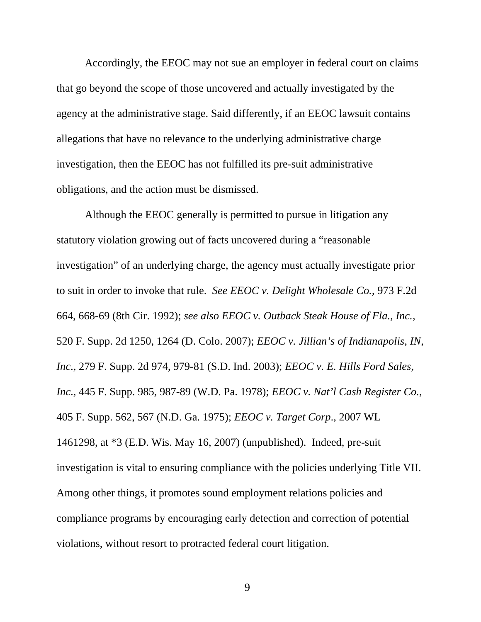Accordingly, the EEOC may not sue an employer in federal court on claims that go beyond the scope of those uncovered and actually investigated by the agency at the administrative stage. Said differently, if an EEOC lawsuit contains allegations that have no relevance to the underlying administrative charge investigation, then the EEOC has not fulfilled its pre-suit administrative obligations, and the action must be dismissed.

Although the EEOC generally is permitted to pursue in litigation any statutory violation growing out of facts uncovered during a "reasonable investigation" of an underlying charge, the agency must actually investigate prior to suit in order to invoke that rule. *See EEOC v. Delight Wholesale Co.*, 973 F.2d 664, 668-69 (8th Cir. 1992); *see also EEOC v. Outback Steak House of Fla., Inc.*, 520 F. Supp. 2d 1250, 1264 (D. Colo. 2007); *EEOC v. Jillian's of Indianapolis, IN, Inc*., 279 F. Supp. 2d 974, 979-81 (S.D. Ind. 2003); *EEOC v. E. Hills Ford Sales, Inc*., 445 F. Supp. 985, 987-89 (W.D. Pa. 1978); *EEOC v. Nat'l Cash Register Co.*, 405 F. Supp. 562, 567 (N.D. Ga. 1975); *EEOC v. Target Corp*., 2007 WL 1461298, at \*3 (E.D. Wis. May 16, 2007) (unpublished). Indeed, pre-suit investigation is vital to ensuring compliance with the policies underlying Title VII. Among other things, it promotes sound employment relations policies and compliance programs by encouraging early detection and correction of potential violations, without resort to protracted federal court litigation.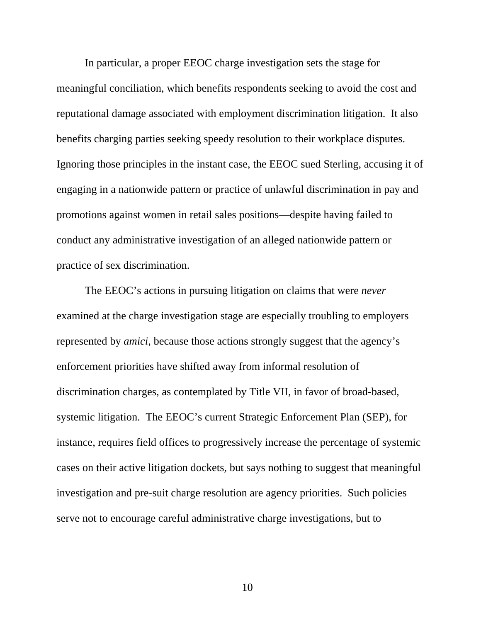In particular, a proper EEOC charge investigation sets the stage for meaningful conciliation, which benefits respondents seeking to avoid the cost and reputational damage associated with employment discrimination litigation. It also benefits charging parties seeking speedy resolution to their workplace disputes. Ignoring those principles in the instant case, the EEOC sued Sterling, accusing it of engaging in a nationwide pattern or practice of unlawful discrimination in pay and promotions against women in retail sales positions—despite having failed to conduct any administrative investigation of an alleged nationwide pattern or practice of sex discrimination.

The EEOC's actions in pursuing litigation on claims that were *never*  examined at the charge investigation stage are especially troubling to employers represented by *amici*, because those actions strongly suggest that the agency's enforcement priorities have shifted away from informal resolution of discrimination charges, as contemplated by Title VII, in favor of broad-based, systemic litigation. The EEOC's current Strategic Enforcement Plan (SEP), for instance, requires field offices to progressively increase the percentage of systemic cases on their active litigation dockets, but says nothing to suggest that meaningful investigation and pre-suit charge resolution are agency priorities. Such policies serve not to encourage careful administrative charge investigations, but to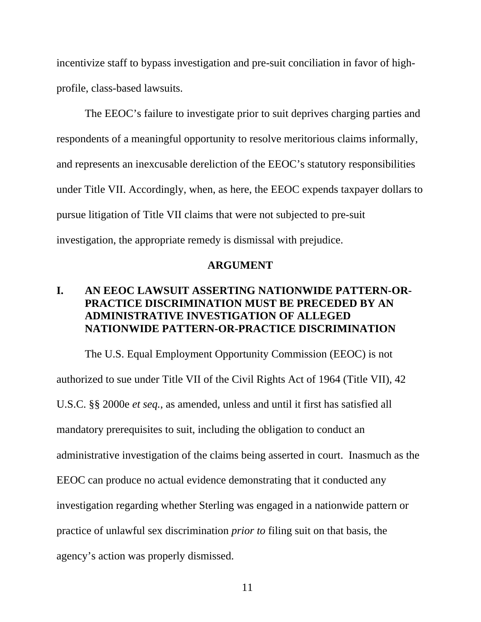incentivize staff to bypass investigation and pre-suit conciliation in favor of highprofile, class-based lawsuits.

The EEOC's failure to investigate prior to suit deprives charging parties and respondents of a meaningful opportunity to resolve meritorious claims informally, and represents an inexcusable dereliction of the EEOC's statutory responsibilities under Title VII. Accordingly, when, as here, the EEOC expends taxpayer dollars to pursue litigation of Title VII claims that were not subjected to pre-suit investigation, the appropriate remedy is dismissal with prejudice.

#### **ARGUMENT**

# **I. AN EEOC LAWSUIT ASSERTING NATIONWIDE PATTERN-OR-PRACTICE DISCRIMINATION MUST BE PRECEDED BY AN ADMINISTRATIVE INVESTIGATION OF ALLEGED NATIONWIDE PATTERN-OR-PRACTICE DISCRIMINATION**

The U.S. Equal Employment Opportunity Commission (EEOC) is not authorized to sue under Title VII of the Civil Rights Act of 1964 (Title VII), 42 U.S.C. §§ 2000e *et seq.*, as amended, unless and until it first has satisfied all mandatory prerequisites to suit, including the obligation to conduct an administrative investigation of the claims being asserted in court. Inasmuch as the EEOC can produce no actual evidence demonstrating that it conducted any investigation regarding whether Sterling was engaged in a nationwide pattern or practice of unlawful sex discrimination *prior to* filing suit on that basis, the agency's action was properly dismissed.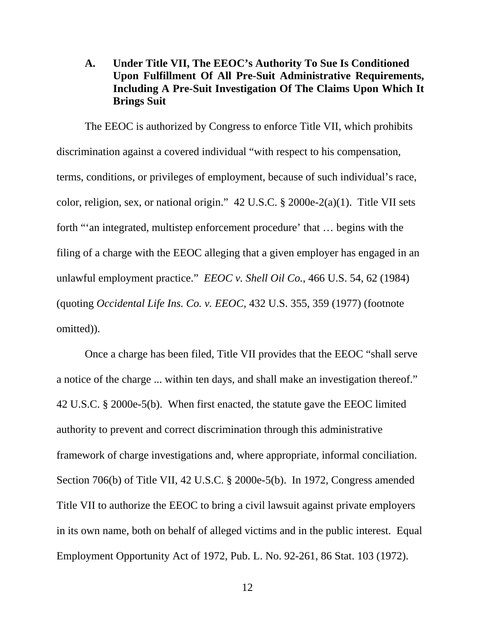# **A. Under Title VII, The EEOC's Authority To Sue Is Conditioned Upon Fulfillment Of All Pre-Suit Administrative Requirements, Including A Pre-Suit Investigation Of The Claims Upon Which It Brings Suit**

 The EEOC is authorized by Congress to enforce Title VII, which prohibits discrimination against a covered individual "with respect to his compensation, terms, conditions, or privileges of employment, because of such individual's race, color, religion, sex, or national origin." 42 U.S.C. § 2000e-2(a)(1). Title VII sets forth "'an integrated, multistep enforcement procedure' that … begins with the filing of a charge with the EEOC alleging that a given employer has engaged in an unlawful employment practice." *EEOC v. Shell Oil Co.*, 466 U.S. 54, 62 (1984) (quoting *Occidental Life Ins. Co. v. EEOC*, 432 U.S. 355, 359 (1977) (footnote omitted)).

 Once a charge has been filed, Title VII provides that the EEOC "shall serve a notice of the charge ... within ten days, and shall make an investigation thereof." 42 U.S.C. § 2000e-5(b). When first enacted, the statute gave the EEOC limited authority to prevent and correct discrimination through this administrative framework of charge investigations and, where appropriate, informal conciliation. Section 706(b) of Title VII, 42 U.S.C. § 2000e-5(b). In 1972, Congress amended Title VII to authorize the EEOC to bring a civil lawsuit against private employers in its own name, both on behalf of alleged victims and in the public interest. Equal Employment Opportunity Act of 1972, Pub. L. No. 92-261, 86 Stat. 103 (1972).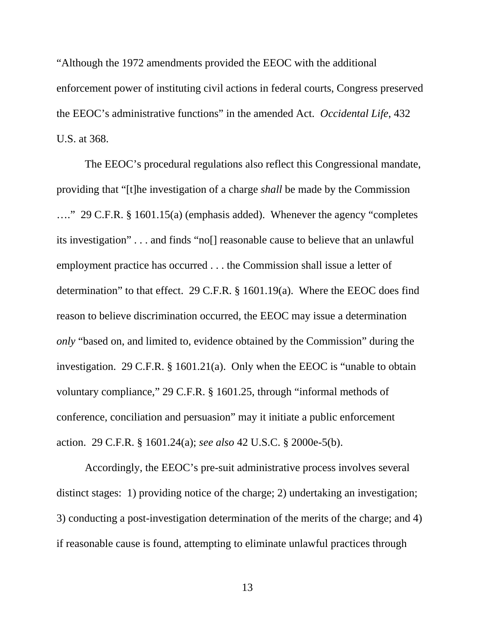"Although the 1972 amendments provided the EEOC with the additional enforcement power of instituting civil actions in federal courts, Congress preserved the EEOC's administrative functions" in the amended Act. *Occidental Life*, 432 U.S. at 368.

 The EEOC's procedural regulations also reflect this Congressional mandate, providing that "[t]he investigation of a charge *shall* be made by the Commission …." 29 C.F.R. § 1601.15(a) (emphasis added). Whenever the agency "completes its investigation" . . . and finds "no[] reasonable cause to believe that an unlawful employment practice has occurred . . . the Commission shall issue a letter of determination" to that effect. 29 C.F.R. § 1601.19(a). Where the EEOC does find reason to believe discrimination occurred, the EEOC may issue a determination *only* "based on, and limited to, evidence obtained by the Commission" during the investigation. 29 C.F.R. § 1601.21(a). Only when the EEOC is "unable to obtain voluntary compliance," 29 C.F.R. § 1601.25, through "informal methods of conference, conciliation and persuasion" may it initiate a public enforcement action. 29 C.F.R. § 1601.24(a); *see also* 42 U.S.C. § 2000e-5(b).

Accordingly, the EEOC's pre-suit administrative process involves several distinct stages: 1) providing notice of the charge; 2) undertaking an investigation; 3) conducting a post-investigation determination of the merits of the charge; and 4) if reasonable cause is found, attempting to eliminate unlawful practices through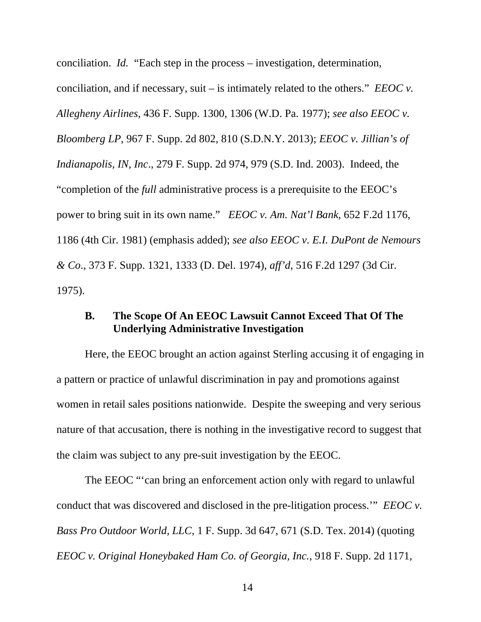conciliation. *Id.* "Each step in the process – investigation, determination, conciliation, and if necessary, suit – is intimately related to the others." *EEOC v. Allegheny Airlines*, 436 F. Supp. 1300, 1306 (W.D. Pa. 1977); *see also EEOC v. Bloomberg LP*, 967 F. Supp. 2d 802, 810 (S.D.N.Y. 2013); *EEOC v. Jillian's of Indianapolis, IN, Inc*., 279 F. Supp. 2d 974, 979 (S.D. Ind. 2003). Indeed, the "completion of the *full* administrative process is a prerequisite to the EEOC's power to bring suit in its own name." *EEOC v. Am. Nat'l Bank*, 652 F.2d 1176, 1186 (4th Cir. 1981) (emphasis added); *see also EEOC v. E.I. DuPont de Nemours & Co*., 373 F. Supp. 1321, 1333 (D. Del. 1974), *aff'd*, 516 F.2d 1297 (3d Cir. 1975).

## **B. The Scope Of An EEOC Lawsuit Cannot Exceed That Of The Underlying Administrative Investigation**

 Here, the EEOC brought an action against Sterling accusing it of engaging in a pattern or practice of unlawful discrimination in pay and promotions against women in retail sales positions nationwide. Despite the sweeping and very serious nature of that accusation, there is nothing in the investigative record to suggest that the claim was subject to any pre-suit investigation by the EEOC.

The EEOC "'can bring an enforcement action only with regard to unlawful conduct that was discovered and disclosed in the pre-litigation process.'" *EEOC v. Bass Pro Outdoor World, LLC*, 1 F. Supp. 3d 647, 671 (S.D. Tex. 2014) (quoting *EEOC v. Original Honeybaked Ham Co. of Georgia, Inc.*, 918 F. Supp. 2d 1171,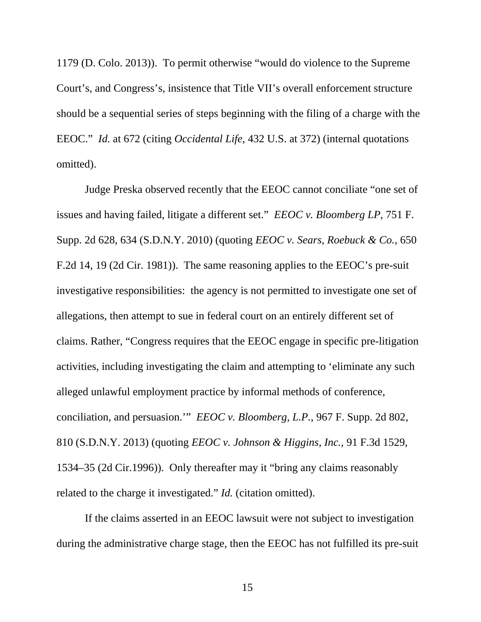1179 (D. Colo. 2013)). To permit otherwise "would do violence to the Supreme Court's, and Congress's, insistence that Title VII's overall enforcement structure should be a sequential series of steps beginning with the filing of a charge with the EEOC." *Id.* at 672 (citing *Occidental Life*, 432 U.S. at 372) (internal quotations omitted).

Judge Preska observed recently that the EEOC cannot conciliate "one set of issues and having failed, litigate a different set." *EEOC v. Bloomberg LP*, 751 F. Supp. 2d 628, 634 (S.D.N.Y. 2010) (quoting *EEOC v. Sears, Roebuck & Co.*, 650 F.2d 14, 19 (2d Cir. 1981)). The same reasoning applies to the EEOC's pre-suit investigative responsibilities: the agency is not permitted to investigate one set of allegations, then attempt to sue in federal court on an entirely different set of claims. Rather, "Congress requires that the EEOC engage in specific pre-litigation activities, including investigating the claim and attempting to 'eliminate any such alleged unlawful employment practice by informal methods of conference, conciliation, and persuasion.'" *EEOC v. Bloomberg, L.P.*, 967 F. Supp. 2d 802, 810 (S.D.N.Y. 2013) (quoting *EEOC v. Johnson & Higgins, Inc.,* 91 F.3d 1529, 1534–35 (2d Cir.1996)). Only thereafter may it "bring any claims reasonably related to the charge it investigated." *Id.* (citation omitted).

If the claims asserted in an EEOC lawsuit were not subject to investigation during the administrative charge stage, then the EEOC has not fulfilled its pre-suit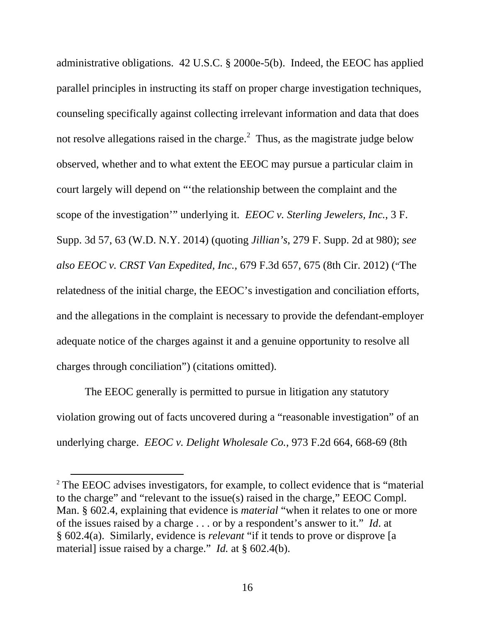administrative obligations. 42 U.S.C. § 2000e-5(b). Indeed, the EEOC has applied parallel principles in instructing its staff on proper charge investigation techniques, counseling specifically against collecting irrelevant information and data that does not resolve allegations raised in the charge. $^2$  Thus, as the magistrate judge below observed, whether and to what extent the EEOC may pursue a particular claim in court largely will depend on "'the relationship between the complaint and the scope of the investigation'" underlying it. *EEOC v. Sterling Jewelers, Inc.*, 3 F. Supp. 3d 57, 63 (W.D. N.Y. 2014) (quoting *Jillian's*, 279 F. Supp. 2d at 980); *see also EEOC v. CRST Van Expedited, Inc.*, 679 F.3d 657, 675 (8th Cir. 2012) ("The relatedness of the initial charge, the EEOC's investigation and conciliation efforts, and the allegations in the complaint is necessary to provide the defendant-employer adequate notice of the charges against it and a genuine opportunity to resolve all charges through conciliation") (citations omitted).

The EEOC generally is permitted to pursue in litigation any statutory violation growing out of facts uncovered during a "reasonable investigation" of an underlying charge. *EEOC v. Delight Wholesale Co.*, 973 F.2d 664, 668-69 (8th

<sup>&</sup>lt;sup>2</sup> The EEOC advises investigators, for example, to collect evidence that is "material" to the charge" and "relevant to the issue(s) raised in the charge," EEOC Compl. Man. § 602.4, explaining that evidence is *material* "when it relates to one or more of the issues raised by a charge . . . or by a respondent's answer to it." *Id*. at § 602.4(a). Similarly, evidence is *relevant* "if it tends to prove or disprove [a material] issue raised by a charge." *Id.* at § 602.4(b).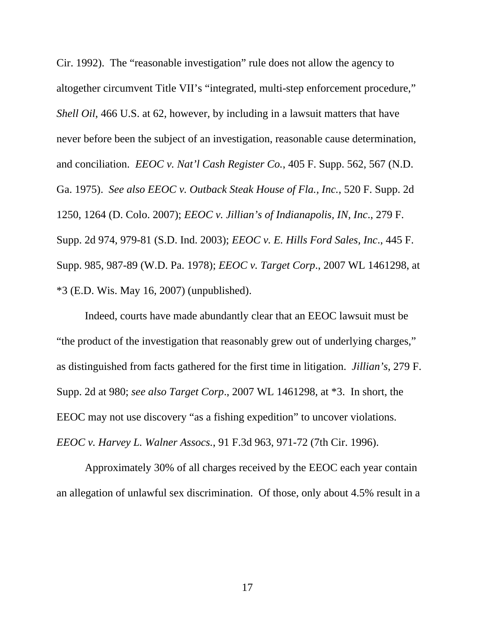Cir. 1992). The "reasonable investigation" rule does not allow the agency to altogether circumvent Title VII's "integrated, multi-step enforcement procedure," *Shell Oil*, 466 U.S. at 62, however, by including in a lawsuit matters that have never before been the subject of an investigation, reasonable cause determination, and conciliation. *EEOC v. Nat'l Cash Register Co.*, 405 F. Supp. 562, 567 (N.D. Ga. 1975). *See also EEOC v. Outback Steak House of Fla., Inc.*, 520 F. Supp. 2d 1250, 1264 (D. Colo. 2007); *EEOC v. Jillian's of Indianapolis, IN, Inc*., 279 F. Supp. 2d 974, 979-81 (S.D. Ind. 2003); *EEOC v. E. Hills Ford Sales, Inc*., 445 F. Supp. 985, 987-89 (W.D. Pa. 1978); *EEOC v. Target Corp*., 2007 WL 1461298, at \*3 (E.D. Wis. May 16, 2007) (unpublished).

Indeed, courts have made abundantly clear that an EEOC lawsuit must be "the product of the investigation that reasonably grew out of underlying charges," as distinguished from facts gathered for the first time in litigation. *Jillian's*, 279 F. Supp. 2d at 980; *see also Target Corp*., 2007 WL 1461298, at \*3. In short, the EEOC may not use discovery "as a fishing expedition" to uncover violations. *EEOC v. Harvey L. Walner Assocs.*, 91 F.3d 963, 971-72 (7th Cir. 1996).

Approximately 30% of all charges received by the EEOC each year contain an allegation of unlawful sex discrimination. Of those, only about 4.5% result in a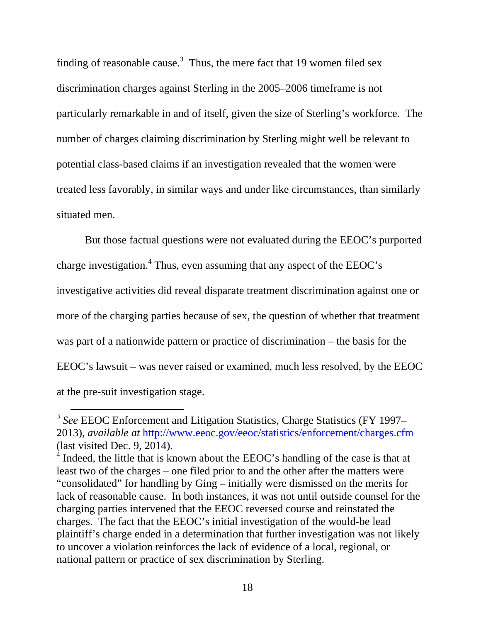finding of reasonable cause.<sup>3</sup> Thus, the mere fact that 19 women filed sex discrimination charges against Sterling in the 2005–2006 timeframe is not particularly remarkable in and of itself, given the size of Sterling's workforce. The number of charges claiming discrimination by Sterling might well be relevant to potential class-based claims if an investigation revealed that the women were treated less favorably, in similar ways and under like circumstances, than similarly situated men.

But those factual questions were not evaluated during the EEOC's purported charge investigation.<sup>4</sup> Thus, even assuming that any aspect of the EEOC's investigative activities did reveal disparate treatment discrimination against one or more of the charging parties because of sex, the question of whether that treatment was part of a nationwide pattern or practice of discrimination – the basis for the EEOC's lawsuit – was never raised or examined, much less resolved, by the EEOC at the pre-suit investigation stage.

 <sup>3</sup> *See* EEOC Enforcement and Litigation Statistics, Charge Statistics (FY 1997– 2013), *available at* http://www.eeoc.gov/eeoc/statistics/enforcement/charges.cfm (last visited Dec. 9, 2014).

 $4$  Indeed, the little that is known about the EEOC's handling of the case is that at least two of the charges – one filed prior to and the other after the matters were "consolidated" for handling by Ging – initially were dismissed on the merits for lack of reasonable cause. In both instances, it was not until outside counsel for the charging parties intervened that the EEOC reversed course and reinstated the charges. The fact that the EEOC's initial investigation of the would-be lead plaintiff's charge ended in a determination that further investigation was not likely to uncover a violation reinforces the lack of evidence of a local, regional, or national pattern or practice of sex discrimination by Sterling.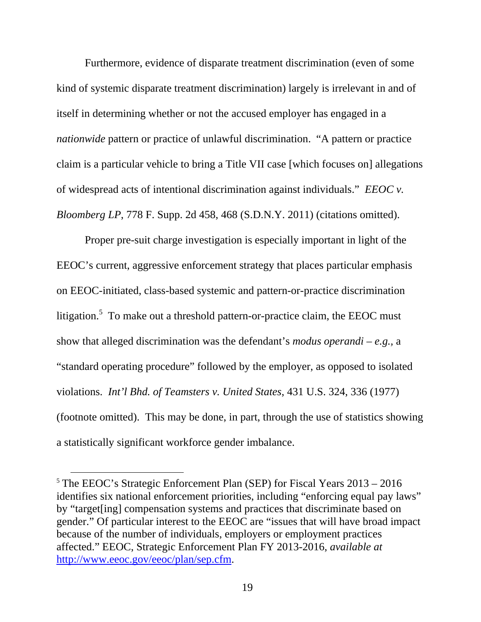Furthermore, evidence of disparate treatment discrimination (even of some kind of systemic disparate treatment discrimination) largely is irrelevant in and of itself in determining whether or not the accused employer has engaged in a *nationwide* pattern or practice of unlawful discrimination. "A pattern or practice claim is a particular vehicle to bring a Title VII case [which focuses on] allegations of widespread acts of intentional discrimination against individuals." *EEOC v. Bloomberg LP*, 778 F. Supp. 2d 458, 468 (S.D.N.Y. 2011) (citations omitted).

Proper pre-suit charge investigation is especially important in light of the EEOC's current, aggressive enforcement strategy that places particular emphasis on EEOC-initiated, class-based systemic and pattern-or-practice discrimination litigation.<sup>5</sup> To make out a threshold pattern-or-practice claim, the EEOC must show that alleged discrimination was the defendant's *modus operandi* – *e.g.,* a "standard operating procedure" followed by the employer, as opposed to isolated violations. *Int'l Bhd. of Teamsters v. United States*, 431 U.S. 324, 336 (1977) (footnote omitted). This may be done, in part, through the use of statistics showing a statistically significant workforce gender imbalance.

 $5$  The EEOC's Strategic Enforcement Plan (SEP) for Fiscal Years  $2013 - 2016$ identifies six national enforcement priorities, including "enforcing equal pay laws" by "target[ing] compensation systems and practices that discriminate based on gender." Of particular interest to the EEOC are "issues that will have broad impact because of the number of individuals, employers or employment practices affected." EEOC, Strategic Enforcement Plan FY 2013-2016, *available at* http://www.eeoc.gov/eeoc/plan/sep.cfm.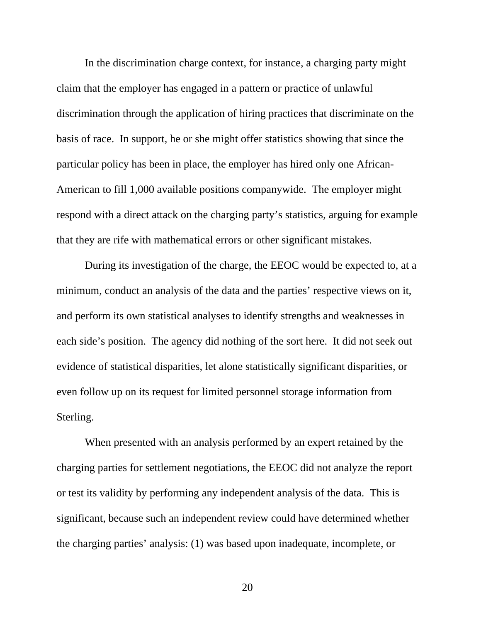In the discrimination charge context, for instance, a charging party might claim that the employer has engaged in a pattern or practice of unlawful discrimination through the application of hiring practices that discriminate on the basis of race. In support, he or she might offer statistics showing that since the particular policy has been in place, the employer has hired only one African-American to fill 1,000 available positions companywide. The employer might respond with a direct attack on the charging party's statistics, arguing for example that they are rife with mathematical errors or other significant mistakes.

During its investigation of the charge, the EEOC would be expected to, at a minimum, conduct an analysis of the data and the parties' respective views on it, and perform its own statistical analyses to identify strengths and weaknesses in each side's position. The agency did nothing of the sort here. It did not seek out evidence of statistical disparities, let alone statistically significant disparities, or even follow up on its request for limited personnel storage information from Sterling.

When presented with an analysis performed by an expert retained by the charging parties for settlement negotiations, the EEOC did not analyze the report or test its validity by performing any independent analysis of the data. This is significant, because such an independent review could have determined whether the charging parties' analysis: (1) was based upon inadequate, incomplete, or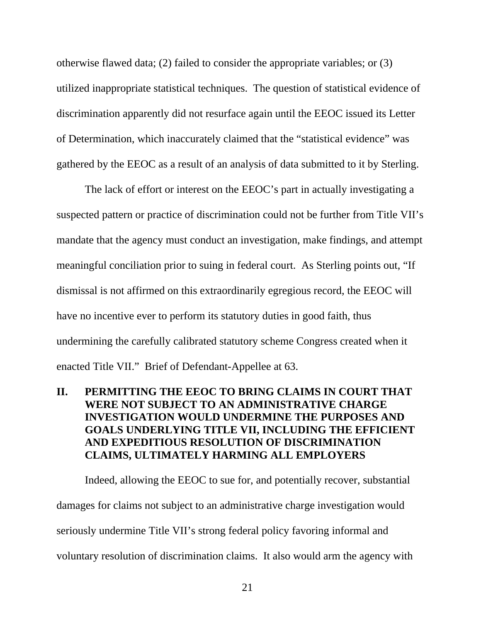otherwise flawed data; (2) failed to consider the appropriate variables; or (3) utilized inappropriate statistical techniques. The question of statistical evidence of discrimination apparently did not resurface again until the EEOC issued its Letter of Determination, which inaccurately claimed that the "statistical evidence" was gathered by the EEOC as a result of an analysis of data submitted to it by Sterling.

The lack of effort or interest on the EEOC's part in actually investigating a suspected pattern or practice of discrimination could not be further from Title VII's mandate that the agency must conduct an investigation, make findings, and attempt meaningful conciliation prior to suing in federal court. As Sterling points out, "If dismissal is not affirmed on this extraordinarily egregious record, the EEOC will have no incentive ever to perform its statutory duties in good faith, thus undermining the carefully calibrated statutory scheme Congress created when it enacted Title VII." Brief of Defendant-Appellee at 63.

# **II. PERMITTING THE EEOC TO BRING CLAIMS IN COURT THAT WERE NOT SUBJECT TO AN ADMINISTRATIVE CHARGE INVESTIGATION WOULD UNDERMINE THE PURPOSES AND GOALS UNDERLYING TITLE VII, INCLUDING THE EFFICIENT AND EXPEDITIOUS RESOLUTION OF DISCRIMINATION CLAIMS, ULTIMATELY HARMING ALL EMPLOYERS**

Indeed, allowing the EEOC to sue for, and potentially recover, substantial damages for claims not subject to an administrative charge investigation would seriously undermine Title VII's strong federal policy favoring informal and voluntary resolution of discrimination claims. It also would arm the agency with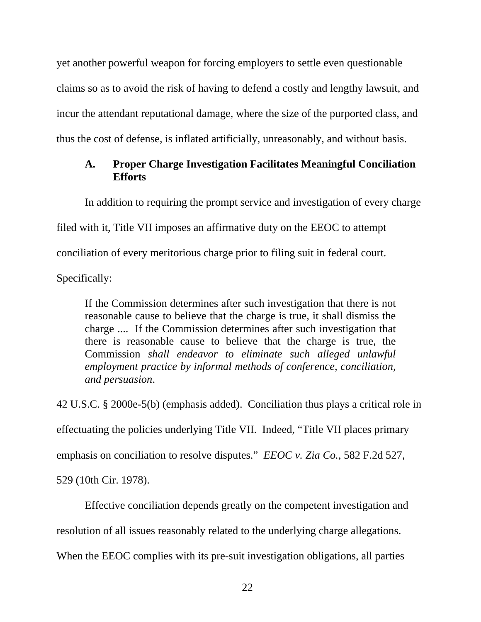yet another powerful weapon for forcing employers to settle even questionable claims so as to avoid the risk of having to defend a costly and lengthy lawsuit, and incur the attendant reputational damage, where the size of the purported class, and thus the cost of defense, is inflated artificially, unreasonably, and without basis.

# **A. Proper Charge Investigation Facilitates Meaningful Conciliation Efforts**

 In addition to requiring the prompt service and investigation of every charge filed with it, Title VII imposes an affirmative duty on the EEOC to attempt conciliation of every meritorious charge prior to filing suit in federal court.

Specifically:

If the Commission determines after such investigation that there is not reasonable cause to believe that the charge is true, it shall dismiss the charge .... If the Commission determines after such investigation that there is reasonable cause to believe that the charge is true, the Commission *shall endeavor to eliminate such alleged unlawful employment practice by informal methods of conference, conciliation, and persuasion*.

42 U.S.C. § 2000e-5(b) (emphasis added). Conciliation thus plays a critical role in effectuating the policies underlying Title VII. Indeed, "Title VII places primary emphasis on conciliation to resolve disputes." *EEOC v. Zia Co.*, 582 F.2d 527, 529 (10th Cir. 1978).

Effective conciliation depends greatly on the competent investigation and

resolution of all issues reasonably related to the underlying charge allegations.

When the EEOC complies with its pre-suit investigation obligations, all parties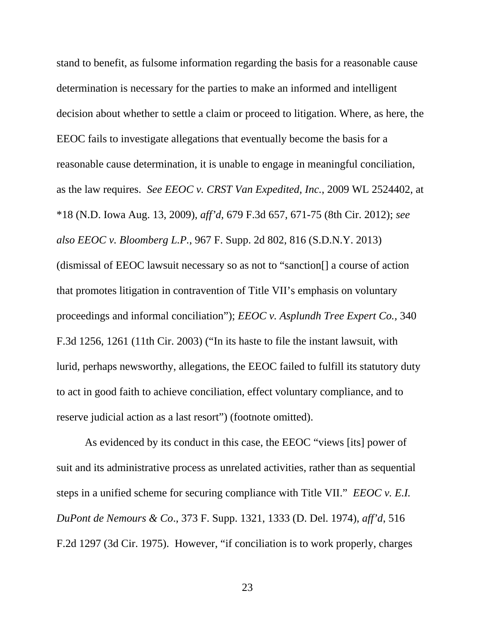stand to benefit, as fulsome information regarding the basis for a reasonable cause determination is necessary for the parties to make an informed and intelligent decision about whether to settle a claim or proceed to litigation. Where, as here, the EEOC fails to investigate allegations that eventually become the basis for a reasonable cause determination, it is unable to engage in meaningful conciliation, as the law requires. *See EEOC v. CRST Van Expedited, Inc.*, 2009 WL 2524402, at \*18 (N.D. Iowa Aug. 13, 2009), *aff'd*, 679 F.3d 657, 671-75 (8th Cir. 2012); *see also EEOC v. Bloomberg L.P.*, 967 F. Supp. 2d 802, 816 (S.D.N.Y. 2013) (dismissal of EEOC lawsuit necessary so as not to "sanction[] a course of action that promotes litigation in contravention of Title VII's emphasis on voluntary proceedings and informal conciliation"); *EEOC v. Asplundh Tree Expert Co.,* 340 F.3d 1256, 1261 (11th Cir. 2003) ("In its haste to file the instant lawsuit, with lurid, perhaps newsworthy, allegations, the EEOC failed to fulfill its statutory duty to act in good faith to achieve conciliation, effect voluntary compliance, and to reserve judicial action as a last resort") (footnote omitted).

As evidenced by its conduct in this case, the EEOC "views [its] power of suit and its administrative process as unrelated activities, rather than as sequential steps in a unified scheme for securing compliance with Title VII." *EEOC v. E.I. DuPont de Nemours & Co*., 373 F. Supp. 1321, 1333 (D. Del. 1974), *aff'd*, 516 F.2d 1297 (3d Cir. 1975). However, "if conciliation is to work properly, charges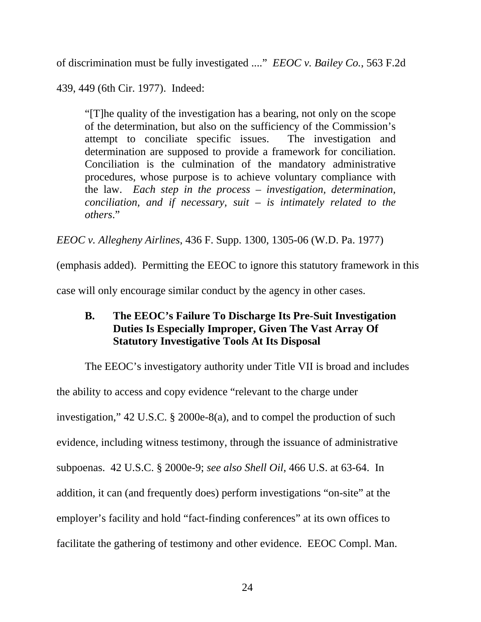of discrimination must be fully investigated ...." *EEOC v. Bailey Co.*, 563 F.2d

439, 449 (6th Cir. 1977). Indeed:

"[T]he quality of the investigation has a bearing, not only on the scope of the determination, but also on the sufficiency of the Commission's attempt to conciliate specific issues. The investigation and determination are supposed to provide a framework for conciliation. Conciliation is the culmination of the mandatory administrative procedures, whose purpose is to achieve voluntary compliance with the law. *Each step in the process – investigation, determination, conciliation, and if necessary, suit – is intimately related to the others*."

*EEOC v. Allegheny Airlines*, 436 F. Supp. 1300, 1305-06 (W.D. Pa. 1977)

(emphasis added). Permitting the EEOC to ignore this statutory framework in this

case will only encourage similar conduct by the agency in other cases.

# **B. The EEOC's Failure To Discharge Its Pre-Suit Investigation Duties Is Especially Improper, Given The Vast Array Of Statutory Investigative Tools At Its Disposal**

The EEOC's investigatory authority under Title VII is broad and includes the ability to access and copy evidence "relevant to the charge under investigation," 42 U.S.C. § 2000e-8(a), and to compel the production of such evidence, including witness testimony, through the issuance of administrative subpoenas. 42 U.S.C. § 2000e-9; *see also Shell Oil*, 466 U.S. at 63-64. In addition, it can (and frequently does) perform investigations "on-site" at the employer's facility and hold "fact-finding conferences" at its own offices to facilitate the gathering of testimony and other evidence. EEOC Compl. Man.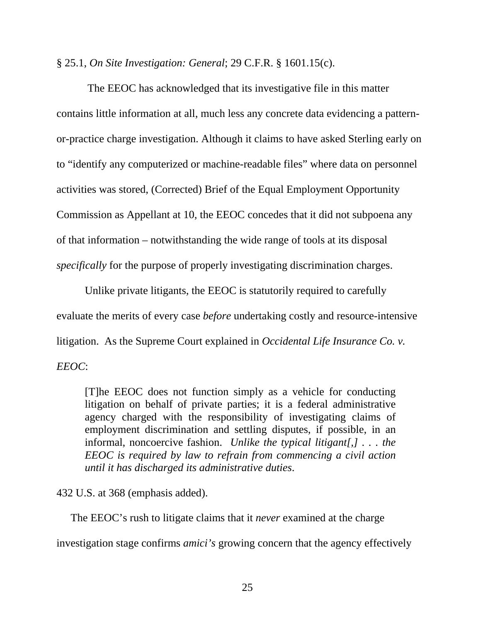§ 25.1, *On Site Investigation: General*; 29 C.F.R. § 1601.15(c).

 The EEOC has acknowledged that its investigative file in this matter contains little information at all, much less any concrete data evidencing a patternor-practice charge investigation. Although it claims to have asked Sterling early on to "identify any computerized or machine-readable files" where data on personnel activities was stored, (Corrected) Brief of the Equal Employment Opportunity Commission as Appellant at 10, the EEOC concedes that it did not subpoena any of that information – notwithstanding the wide range of tools at its disposal *specifically* for the purpose of properly investigating discrimination charges.

Unlike private litigants, the EEOC is statutorily required to carefully evaluate the merits of every case *before* undertaking costly and resource-intensive litigation. As the Supreme Court explained in *Occidental Life Insurance Co. v. EEOC*:

[T]he EEOC does not function simply as a vehicle for conducting litigation on behalf of private parties; it is a federal administrative agency charged with the responsibility of investigating claims of employment discrimination and settling disputes, if possible, in an informal, noncoercive fashion. *Unlike the typical litigant[,] . . . the EEOC is required by law to refrain from commencing a civil action until it has discharged its administrative duties*.

432 U.S. at 368 (emphasis added).

The EEOC's rush to litigate claims that it *never* examined at the charge

investigation stage confirms *amici's* growing concern that the agency effectively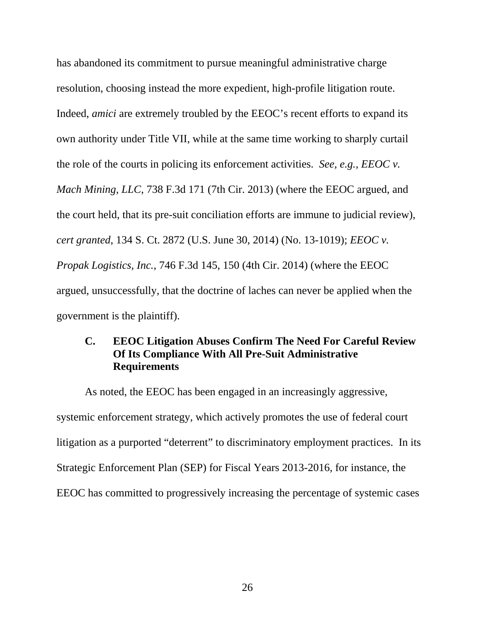has abandoned its commitment to pursue meaningful administrative charge resolution, choosing instead the more expedient, high-profile litigation route. Indeed, *amici* are extremely troubled by the EEOC's recent efforts to expand its own authority under Title VII, while at the same time working to sharply curtail the role of the courts in policing its enforcement activities. *See, e.g., EEOC v. Mach Mining, LLC*, 738 F.3d 171 (7th Cir. 2013) (where the EEOC argued, and the court held, that its pre-suit conciliation efforts are immune to judicial review), *cert granted*, 134 S. Ct. 2872 (U.S. June 30, 2014) (No. 13-1019); *EEOC v. Propak Logistics, Inc.*, 746 F.3d 145, 150 (4th Cir. 2014) (where the EEOC argued, unsuccessfully, that the doctrine of laches can never be applied when the government is the plaintiff).

## **C. EEOC Litigation Abuses Confirm The Need For Careful Review Of Its Compliance With All Pre-Suit Administrative Requirements**

As noted, the EEOC has been engaged in an increasingly aggressive, systemic enforcement strategy, which actively promotes the use of federal court litigation as a purported "deterrent" to discriminatory employment practices. In its Strategic Enforcement Plan (SEP) for Fiscal Years 2013-2016, for instance, the EEOC has committed to progressively increasing the percentage of systemic cases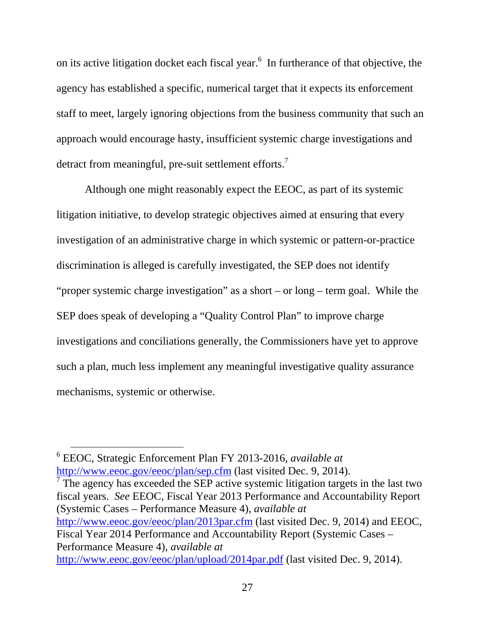on its active litigation docket each fiscal year. $6\,$  In furtherance of that objective, the agency has established a specific, numerical target that it expects its enforcement staff to meet, largely ignoring objections from the business community that such an approach would encourage hasty, insufficient systemic charge investigations and detract from meaningful, pre-suit settlement efforts.<sup>7</sup>

Although one might reasonably expect the EEOC, as part of its systemic litigation initiative, to develop strategic objectives aimed at ensuring that every investigation of an administrative charge in which systemic or pattern-or-practice discrimination is alleged is carefully investigated, the SEP does not identify "proper systemic charge investigation" as a short – or long – term goal. While the SEP does speak of developing a "Quality Control Plan" to improve charge investigations and conciliations generally, the Commissioners have yet to approve such a plan, much less implement any meaningful investigative quality assurance mechanisms, systemic or otherwise.

 6 EEOC, Strategic Enforcement Plan FY 2013-2016, *available at* http://www.eeoc.gov/eeoc/plan/sep.cfm (last visited Dec. 9, 2014).

<sup>7</sup> The agency has exceeded the SEP active systemic litigation targets in the last two fiscal years. *See* EEOC, Fiscal Year 2013 Performance and Accountability Report (Systemic Cases – Performance Measure 4), *available at* http://www.eeoc.gov/eeoc/plan/2013par.cfm (last visited Dec. 9, 2014) and EEOC, Fiscal Year 2014 Performance and Accountability Report (Systemic Cases – Performance Measure 4), *available at* http://www.eeoc.gov/eeoc/plan/upload/2014par.pdf (last visited Dec. 9, 2014).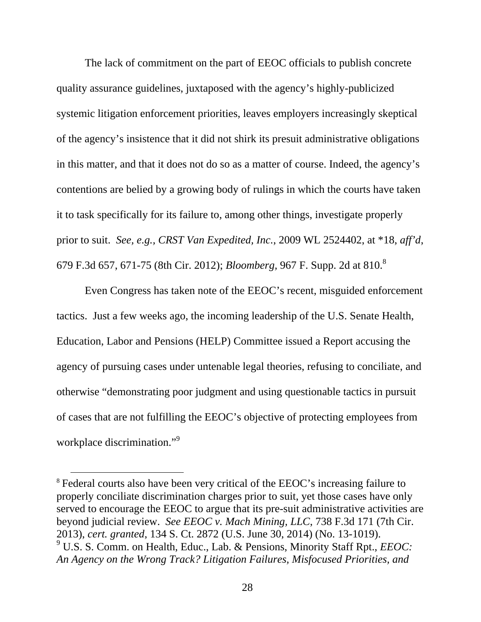The lack of commitment on the part of EEOC officials to publish concrete quality assurance guidelines, juxtaposed with the agency's highly-publicized systemic litigation enforcement priorities, leaves employers increasingly skeptical of the agency's insistence that it did not shirk its presuit administrative obligations in this matter, and that it does not do so as a matter of course. Indeed, the agency's contentions are belied by a growing body of rulings in which the courts have taken it to task specifically for its failure to, among other things, investigate properly prior to suit. *See, e.g., CRST Van Expedited, Inc.*, 2009 WL 2524402, at \*18, *aff'd*, 679 F.3d 657, 671-75 (8th Cir. 2012); *Bloomberg,* 967 F. Supp. 2d at 810.<sup>8</sup>

Even Congress has taken note of the EEOC's recent, misguided enforcement tactics. Just a few weeks ago, the incoming leadership of the U.S. Senate Health, Education, Labor and Pensions (HELP) Committee issued a Report accusing the agency of pursuing cases under untenable legal theories, refusing to conciliate, and otherwise "demonstrating poor judgment and using questionable tactics in pursuit of cases that are not fulfilling the EEOC's objective of protecting employees from workplace discrimination."<sup>9</sup>

<sup>&</sup>lt;sup>8</sup> Federal courts also have been very critical of the EEOC's increasing failure to properly conciliate discrimination charges prior to suit, yet those cases have only served to encourage the EEOC to argue that its pre-suit administrative activities are beyond judicial review. *See EEOC v. Mach Mining, LLC*, 738 F.3d 171 (7th Cir. 2013), *cert. granted*, 134 S. Ct. 2872 (U.S. June 30, 2014) (No. 13-1019). 9 U.S. S. Comm. on Health, Educ., Lab. & Pensions, Minority Staff Rpt., *EEOC: An Agency on the Wrong Track? Litigation Failures, Misfocused Priorities, and*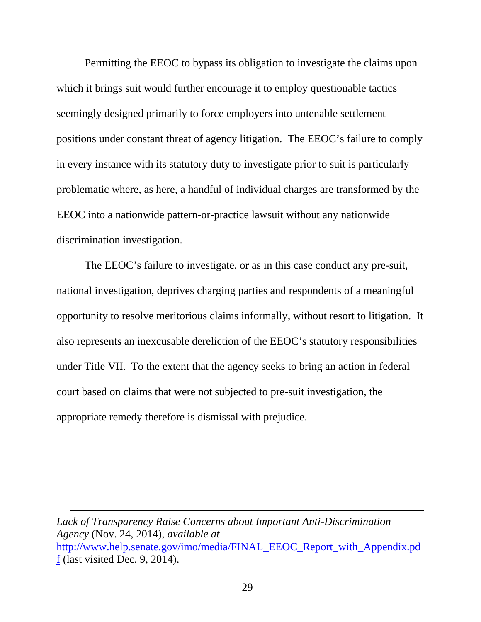Permitting the EEOC to bypass its obligation to investigate the claims upon which it brings suit would further encourage it to employ questionable tactics seemingly designed primarily to force employers into untenable settlement positions under constant threat of agency litigation. The EEOC's failure to comply in every instance with its statutory duty to investigate prior to suit is particularly problematic where, as here, a handful of individual charges are transformed by the EEOC into a nationwide pattern-or-practice lawsuit without any nationwide discrimination investigation.

The EEOC's failure to investigate, or as in this case conduct any pre-suit, national investigation, deprives charging parties and respondents of a meaningful opportunity to resolve meritorious claims informally, without resort to litigation. It also represents an inexcusable dereliction of the EEOC's statutory responsibilities under Title VII. To the extent that the agency seeks to bring an action in federal court based on claims that were not subjected to pre-suit investigation, the appropriate remedy therefore is dismissal with prejudice.

*Lack of Transparency Raise Concerns about Important Anti-Discrimination Agency* (Nov. 24, 2014), *available at* http://www.help.senate.gov/imo/media/FINAL\_EEOC\_Report\_with\_Appendix.pd f (last visited Dec. 9, 2014).

 $\overline{a}$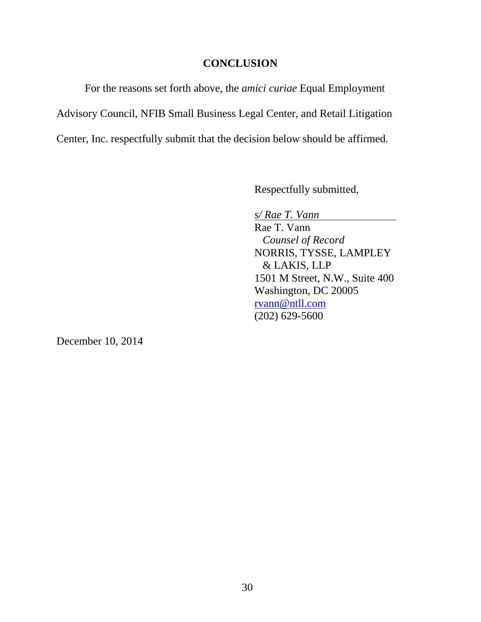#### **CONCLUSION**

For the reasons set forth above, the *amici curiae* Equal Employment Advisory Council, NFIB Small Business Legal Center, and Retail Litigation Center, Inc. respectfully submit that the decision below should be affirmed.

Respectfully submitted,

 *s/ Rae T. Vann*  Rae T. Vann *Counsel of Record*  NORRIS, TYSSE, LAMPLEY & LAKIS, LLP 1501 M Street, N.W., Suite 400 Washington, DC 20005 rvann@ntll.com (202) 629-5600

December 10, 2014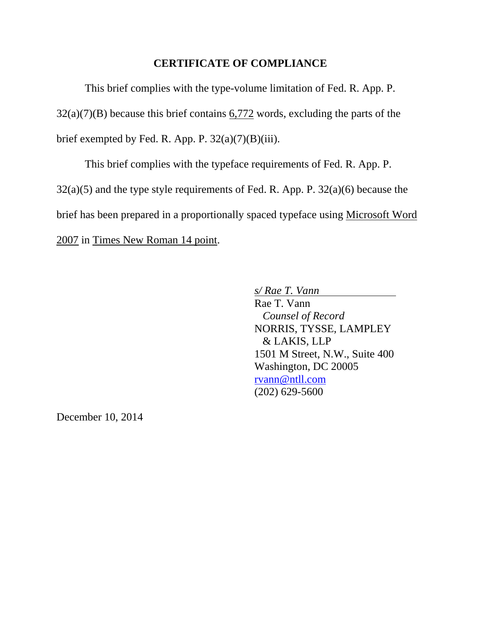#### **CERTIFICATE OF COMPLIANCE**

This brief complies with the type-volume limitation of Fed. R. App. P.  $32(a)(7)(B)$  because this brief contains 6,772 words, excluding the parts of the brief exempted by Fed. R. App. P.  $32(a)(7)(B)(iii)$ .

 This brief complies with the typeface requirements of Fed. R. App. P. 32(a)(5) and the type style requirements of Fed. R. App. P. 32(a)(6) because the brief has been prepared in a proportionally spaced typeface using Microsoft Word 2007 in Times New Roman 14 point.

*s/ Rae T. Vann* 

 Rae T. Vann *Counsel of Record*  NORRIS, TYSSE, LAMPLEY & LAKIS, LLP 1501 M Street, N.W., Suite 400 Washington, DC 20005 rvann@ntll.com (202) 629-5600

December 10, 2014